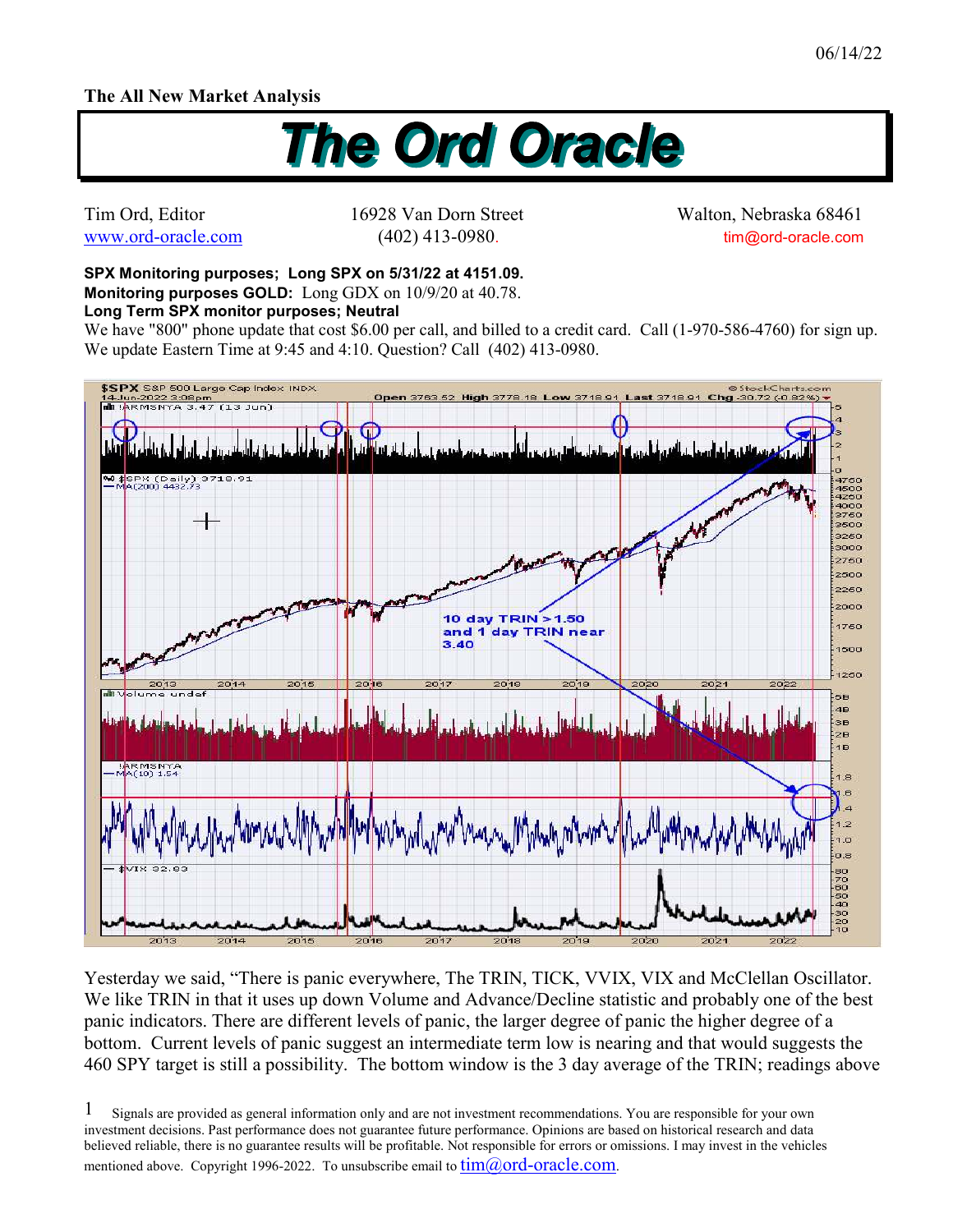## **The All New Market Analysis**



Tim Ord, Editor 16928 Van Dorn Street Walton, Nebraska 68461 www.ord-oracle.com (402) 413-0980. tim@ord-oracle.com

**SPX Monitoring purposes; Long SPX on 5/31/22 at 4151.09. Monitoring purposes GOLD:** Long GDX on 10/9/20 at 40.78.

## **Long Term SPX monitor purposes; Neutral**

We have "800" phone update that cost \$6.00 per call, and billed to a credit card. Call (1-970-586-4760) for sign up. We update Eastern Time at 9:45 and 4:10. Question? Call (402) 413-0980.



Yesterday we said, "There is panic everywhere, The TRIN, TICK, VVIX, VIX and McClellan Oscillator. We like TRIN in that it uses up down Volume and Advance/Decline statistic and probably one of the best panic indicators. There are different levels of panic, the larger degree of panic the higher degree of a bottom. Current levels of panic suggest an intermediate term low is nearing and that would suggests the 460 SPY target is still a possibility. The bottom window is the 3 day average of the TRIN; readings above

Signals are provided as general information only and are not investment recommendations. You are responsible for your own investment decisions. Past performance does not guarantee future performance. Opinions are based on historical research and data believed reliable, there is no guarantee results will be profitable. Not responsible for errors or omissions. I may invest in the vehicles mentioned above. Copyright 1996-2022. To unsubscribe email to  $\lim(\partial_{\theta} \text{ord-oracle.com})$ . 1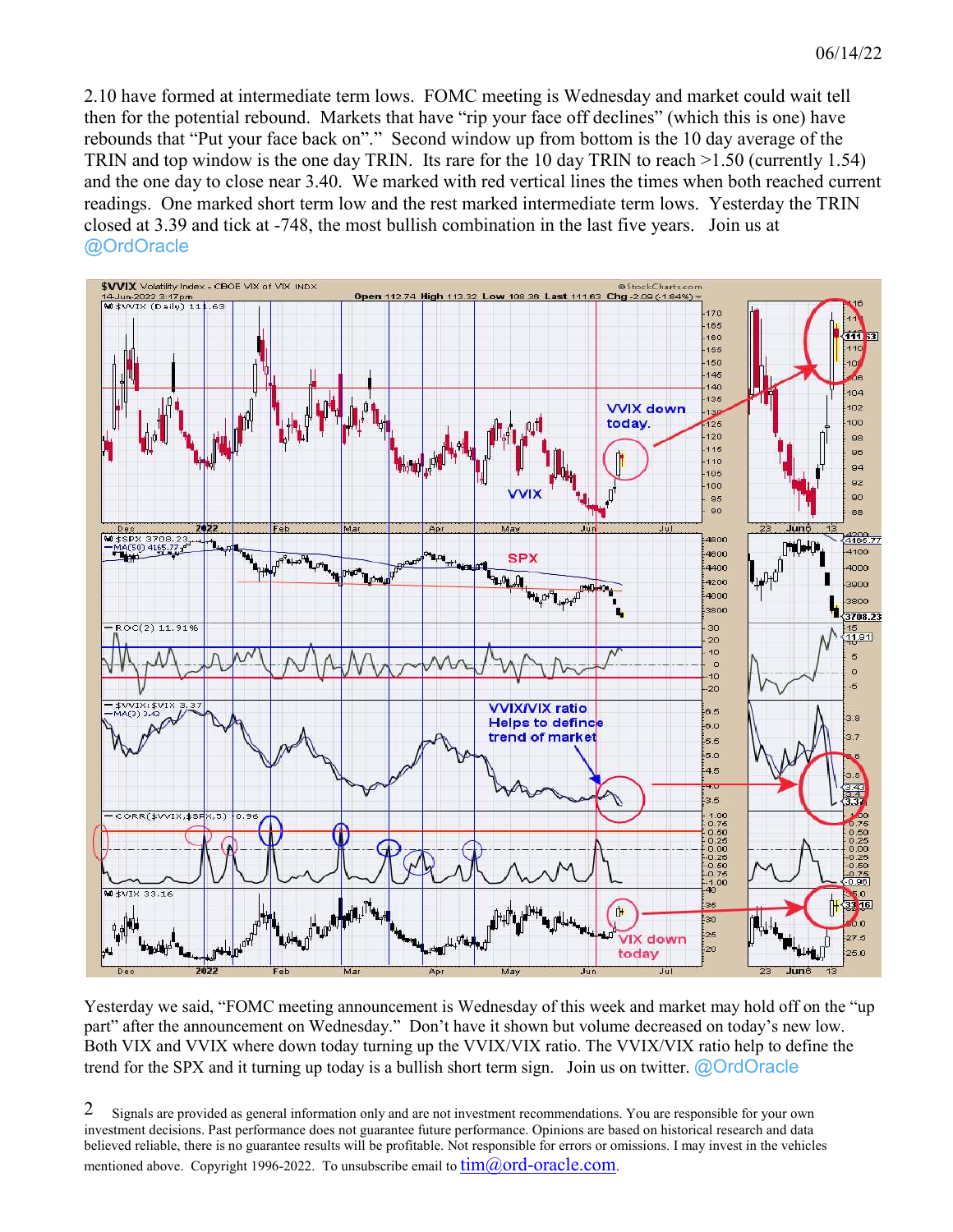2.10 have formed at intermediate term lows. FOMC meeting is Wednesday and market could wait tell then for the potential rebound. Markets that have "rip your face off declines" (which this is one) have rebounds that "Put your face back on"." Second window up from bottom is the 10 day average of the TRIN and top window is the one day TRIN. Its rare for the 10 day TRIN to reach >1.50 (currently 1.54) and the one day to close near 3.40. We marked with red vertical lines the times when both reached current readings. One marked short term low and the rest marked intermediate term lows. Yesterday the TRIN closed at 3.39 and tick at -748, the most bullish combination in the last five years. Join us at @OrdOracle



Yesterday we said, "FOMC meeting announcement is Wednesday of this week and market may hold off on the "up part" after the announcement on Wednesday." Don't have it shown but volume decreased on today's new low. Both VIX and VVIX where down today turning up the VVIX/VIX ratio. The VVIX/VIX ratio help to define the trend for the SPX and it turning up today is a bullish short term sign. Join us on twitter.  $\omega$ OrdOracle

Signals are provided as general information only and are not investment recommendations. You are responsible for your own investment decisions. Past performance does not guarantee future performance. Opinions are based on historical research and data believed reliable, there is no guarantee results will be profitable. Not responsible for errors or omissions. I may invest in the vehicles mentioned above. Copyright 1996-2022. To unsubscribe email to  $\lim(\partial_{\theta} \text{ord-oracle.com})$ . 2